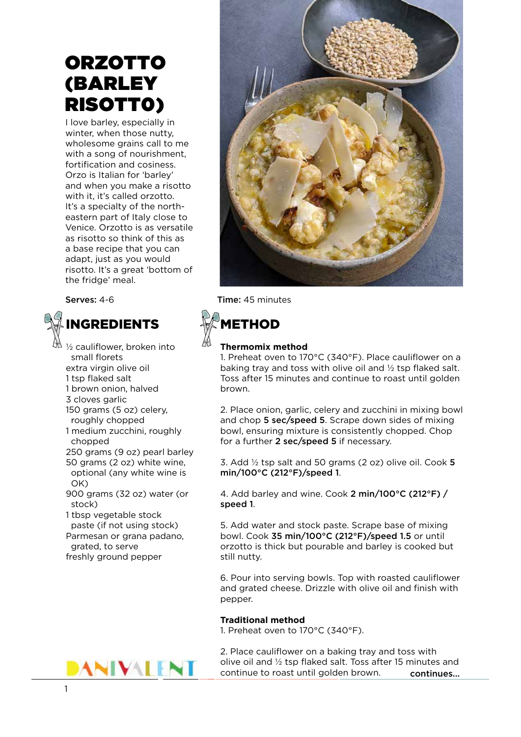# **ORZOTTO** (BARLEY RISOTT0)

I love barley, especially in winter, when those nutty, wholesome grains call to me with a song of nourishment, fortification and cosiness. Orzo is Italian for 'barley' and when you make a risotto with it, it's called orzotto. It's a specialty of the northeastern part of Italy close to Venice. Orzotto is as versatile as risotto so think of this as a base recipe that you can adapt, just as you would risotto. It's a great 'bottom of the fridge' meal.



- ½ cauliflower, broken into small florets extra virgin olive oil 1 tsp flaked salt 1 brown onion, halved 3 cloves garlic 150 grams (5 oz) celery, roughly chopped 1 medium zucchini, roughly chopped 250 grams (9 oz) pearl barley 50 grams (2 oz) white wine, optional (any white wine is OK) 900 grams (32 oz) water (or stock) 1 tbsp vegetable stock paste (if not using stock) Parmesan or grana padano,
- grated, to serve freshly ground pepper



Serves: 4-6 Time: 45 minutes

## METHOD

### **Thermomix method**

1. Preheat oven to 170°C (340°F). Place cauliflower on a baking tray and toss with olive oil and ½ tsp flaked salt. Toss after 15 minutes and continue to roast until golden brown.

2. Place onion, garlic, celery and zucchini in mixing bowl and chop 5 sec/speed 5. Scrape down sides of mixing bowl, ensuring mixture is consistently chopped. Chop for a further 2 sec/speed 5 if necessary.

3. Add  $\frac{1}{2}$  tsp salt and 50 grams (2 oz) olive oil. Cook 5 min/100°C (212°F)/speed 1.

4. Add barley and wine. Cook 2 min/100°C (212°F) / speed 1.

5. Add water and stock paste. Scrape base of mixing bowl. Cook 35 min/100°C (212°F)/speed 1.5 or until orzotto is thick but pourable and barley is cooked but still nutty.

6. Pour into serving bowls. Top with roasted cauliflower and grated cheese. Drizzle with olive oil and finish with pepper.

### **Traditional method**

1. Preheat oven to 170°C (340°F).

2. Place cauliflower on a baking tray and toss with olive oil and ½ tsp flaked salt. Toss after 15 minutes and continue to roast until golden brown. continues...

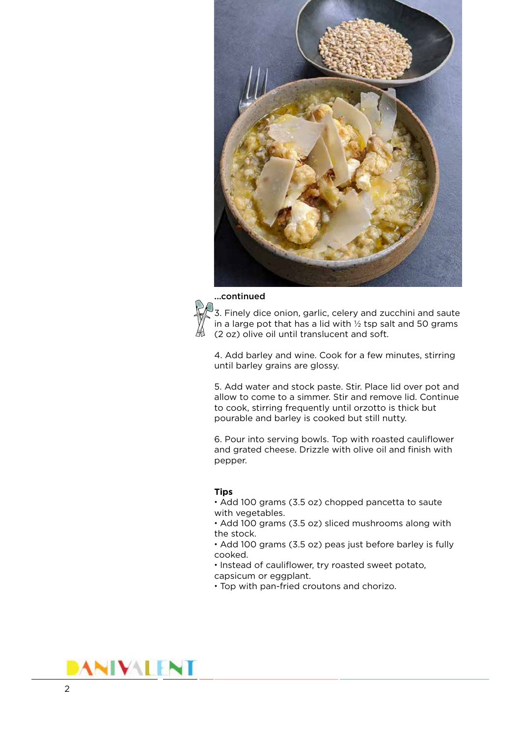

#### ...continued



 $\sqrt[3]{3}$ . Finely dice onion, garlic, celery and zucchini and saute in a large pot that has a lid with  $\frac{1}{2}$  tsp salt and 50 grams (2 oz) olive oil until translucent and soft.

4. Add barley and wine. Cook for a few minutes, stirring until barley grains are glossy.

5. Add water and stock paste. Stir. Place lid over pot and allow to come to a simmer. Stir and remove lid. Continue to cook, stirring frequently until orzotto is thick but pourable and barley is cooked but still nutty.

6. Pour into serving bowls. Top with roasted cauliflower and grated cheese. Drizzle with olive oil and finish with pepper.

#### **Tips**

• Add 100 grams (3.5 oz) chopped pancetta to saute with vegetables.

• Add 100 grams (3.5 oz) sliced mushrooms along with the stock.

• Add 100 grams (3.5 oz) peas just before barley is fully cooked.

• Instead of cauliflower, try roasted sweet potato, capsicum or eggplant.

• Top with pan-fried croutons and chorizo.